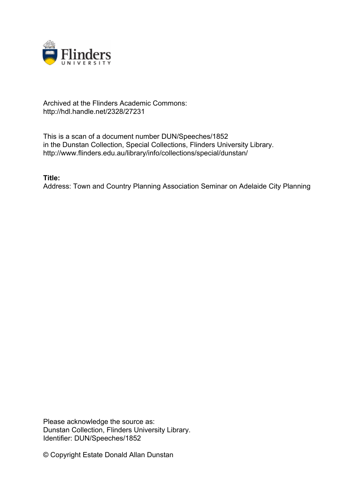

## Archived at the Flinders Academic Commons: http://hdl.handle.net/2328/27231

This is a scan of a document number DUN/Speeches/1852 in the Dunstan Collection, Special Collections, Flinders University Library. http://www.flinders.edu.au/library/info/collections/special/dunstan/

**Title:**

Address: Town and Country Planning Association Seminar on Adelaide City Planning

Please acknowledge the source as: Dunstan Collection, Flinders University Library. Identifier: DUN/Speeches/1852

© Copyright Estate Donald Allan Dunstan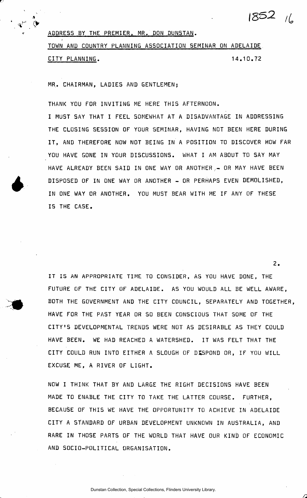ADDRESS BY THE PREMIER, MR. DON DUNSTAN.

TOWN AND COUNTRY PLANNING ASSOCIATION SEMINAR ON ADELAIDE. CITY PLANNING. 14.10.72

 $1852<sub>16</sub>$ 

**2.** 

MR. CHAIRMAN, LADIES AND GENTLEMEN;

THANK YOU FOR INVITING ME HERE THIS AFTERNOON.

I MUST SAY THAT I FEEL SOMEWHAT AT A DISADVANTAGE IN ADDRESSING THE CLOSING SESSION OF YOUR SEMINAR, HAVING NOT BEEN HERE DURING IT, AND THEREFORE NOW NOT BEING IN A POSITION TO DISCOVER HOW FAR YOU HAVE GONE IN YOUR DISCUSSIONS. WHAT I AM ABOUT TO SAY MAY HAVE ALREADY BEEN SAID IN ONE WAY OR ANOTHER  $\sim$  OR MAY HAVE BEEN DISPOSED OF IN ONE WAY OR ANOTHER - OR PERHAPS EVEN DEMOLISHED, IN ONE WAY OR ANOTHER. YOU MUST BEAR WITH ME IF ANY OF THESE IS THE CASE.

IT IS AN APPROPRIATE TIME TO CONSIDER, AS YOU HAVE DONE, THE FUTURE OF THE CITY OF ADELAIDE. AS YOU WOULD ALL BE WELL AWARE, BOTH THE GOVERNMENT AND THE CITY COUNCIL, SEPARATELY AND TOGETHER, HAVE FOR THE PAST YEAR OR SO BEEN CONSCIOUS THAT SOME OF THE CITY' S DEVELOPMENTAL TRENDS WERE NOT AS DESIRABLE AS THEY COULD HAVE BEEN. WE HAD REACHED A WATERSHED. IT WAS FELT THAT THE CITY COULD RUN INTO EITHER A SLOUGH OF DISPOND OR, IF YOU WILL EXCUSE ME, A RIVER OF LIGHT.

NOW I THINK THAT BY AND LARGE THE RIGHT DECISIONS HAVE BEEN MADE TO ENABLE THE CITY TO TAKE THE LATTER COURSE. FURTHER, BECAUSE OF THIS WE HAVE THE OPPORTUNITY TO ACHIEVE IN ADELAIDE CITY A STANDARD OF URBAN DEVELOPMENT UNKNOWN IN AUSTRALIA, AND RARE IN THOSE PARTS OF THE WORLD THAT HAVE OUR KIND OF ECONOMIC AND SOCIO-POLITICAL ORGANISATION.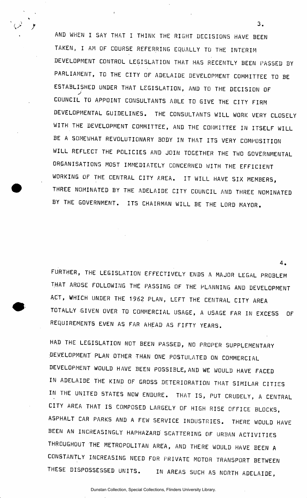AND WHEN I SAY THAT I THINK THE RIGHT DECISIONS HAVE BEEN TAKEN, I AM OF COURSE REFERRING EQUALLY TG THE INTERIM DEVELOPMENT CONTROL LEGISLATION THAT HAS RECENTLY BEEN PASSED BY PARLIAMENT, TO THE CITY OF ADELAIDE DEVELOPMENT COMMITTEE TO BE ESTABLISHED UNDER THAT LEGISLATION, AND TO THE DECISION OF COUNCIL TO APPOINT CONSULTANTS ABLE TO GIVE THE CITY FIRM DEVELOPMENTAL GUIDELINES. THE CONSULTANTS WILL WORK VERY CLOSELY WITH THE DEVELOPMENT COMMITTEE, AND THE COMMITTEE IN ITSELF WILL BE A SOMEWHAT REVOLUTIONARY BODY IN THAT ITS VERY COMPOSITION WILL REFLECT THE POLICIES AND JOIN TOGETHER THE TWO GOVERNMENTAL ORGANISATIONS MOST IMMEDIATELY CONCERNED WITH THE EFFICIENT WORKING OF THE CENTRAL CITY AREA. IT WILL HAVE SIX MEMBERS, THREE NOMINATED BY THE ADELAIDE CITY COUNCIL AND THREE NOMINATED BY THE GOVERNMENT. ITS CHAIRMAN WILL BE THE LORD MAYOR.

FURTHER, THE LEGISLATION EFFECTIVELY ENDS A MAJOR LEGAL PROBLEM THAT AROSE FOLLOWING THE PASSING OF THE PLANNING AND DEVELOPMENT ACT, WHICH UNDER THE 1962 PLAN, LEFT THE CENTRAL CITY AREA TOTALLY GIVEN OVER TO COMMERCIAL USAGE, A USAGE FAR IN EXCESS OF REQUIREMENTS EVEN AS FAR AHEAD AS FIFTY YEARS.

HAD THE LEGISLATION NOT BEEN PASSED, NO PROPER SUPPLEMENTARY DEVELOPMENT PLAN OTHER THAN ONE POSTULATED ON COMMERCIAL DEVELOPMENT WOULD HAVE BEEN POSSIBLE, AND WE WOULD HAVE FACED IN ADELAIDE THE KIND OF GROSS DETERIORATION THAT SIMILAR CITIES IN THE UNITED STATES NOW ENDURE. THAT IS, PUT CRUDELY, A CENTRAL CITY AREA THAT IS COMPOSED LARGELY OF HIGH RISE OFFICE BLOCKS, ASPHALT CAR PARKS AND A FEW SERVICE INDUSTRIES . THERE WOULD HAVE BEEN AN INCREASINGLY HAPHAZARD SCATTERING OF URBAN ACTIVITIES THROUGHOUT THE METROPOLITAN AREA, AND THERE WOULD HAVE BEEN A CONSTANTLY INCREASING NEED FOR PRIVATE MOTOR TRANSPORT BETWEEN THESE DISPOSSESSED UNITS. IN AREAS SUCH AS NORTH ADELAIDE,

 $3.$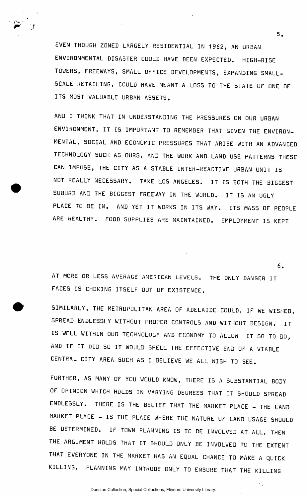EVEN THOUGH ZONED LARGELY RESIDENTIAL IN 1962, AN URBAN ENVIRONMENTAL DISASTER COULD HAVE BEEN EXPECTED. HIGH-RISE TOWERS, FREEWAYS, SMALL OFFICE DEVELOPMENTS, EXPANDING SMALL-SCALE RETAILING, COULD HAVE MEANT A LOSS TO THE STATE OF ONE OF ITS MOST VALUABLE URBAN ASSETS.

AND I THINK THAT IN UNDERSTANDING THE PRESSURES ON OUR URBAN ENVIRONMENT, IT IS IMPORTANT TO REMEMBER THAT GIVEN THE ENVIRON-MENTAL, SOCIAL AND ECONOMIC PRESSURES THAT ARISE WITH AN ADVANCED TECHNOLOGY SUCH AS OURS, AND THE WORK AND LAND USE PATTERNS THESE CAN IMPUSE, THE CITY AS A STABLE INTER-REACTIVE URBAN UNIT IS NOT REALLY NECESSARY. TAKE LOS ANGELES. IT IS BOTH THE BIGGEST SUBURB AND THE BIGGEST FREEWAY IN THE WORLD. IT IS AN UGLY PLACE TO BE IN. AND YET IT WORKS IN ITS WAY. ITS MASS OF PEOPLE ARE WEALTHY. FOOD SUPPLIES ARE MAINTAINED. EMPLOYMENT IS KEPT

AT MORE OR LESS AVERAGE AMERICAN LEVELS. THE ONLY DANGER IT FACES IS CHOKING ITSELF OUT OF EXISTENCE.

SIMILARLY, THE METROPOLITAN AREA OF ADELAIDE COULD, IF WE WISHED, SPREAD ENDLESSLY WITHOUT PROPER CONTROLS AND WITHOUT DESIGN. IT IS WELL WITHIN OUR TECHNOLOGY AND ECONOMY TO ALLOW IT SO TO DO, AND IF IT DID SO IT WOULD SPELL THE EFFECTIVE END OF A VIABLE CENTRAL CITY AREA SUCH AS I BELIEVE WE ALL WISH TO SEE.

FURTHER, AS MANY OF YOU WOULD KNOW, THERE IS A SUBSTANTIAL BODY OF OPINION WHICH HOLDS IN VARYING DEGREES THAT IT SHOULD SPREAD ENDLESSLY. THERE IS THE BELIEF THAT THE MARKET PLACE - THE LAND MARKET PLACE - IS THE PLACE WHERE THE NATURE OF LAND USAGE SHOULD BE DETERMINED. IF TOWN PLANNING IS TO BE INVOLVED AT ALL, THEN THE ARGUMENT HOLDS THAT IT SHOULD ONLY BE INVOLVED TO THE EXTENT THAT EVERYONE IN THE MARKET HAS AN EQUAL CHANCE TO MAKE A QUICK KILLING. PLANNING MAY INTRUDE ONLY TO ENSURE THAT THE KILLING

 $5.$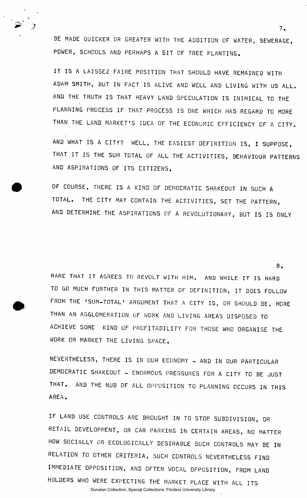BE MADE QUICKER OR GREATER WITH THE ADDITION OF WATER, SEWERAGE, POWER, SCHOOLS AND PERHAPS A BIT OF TREE PLANTING.

IT IS A LAISSEZ FAIRE POSITION THAT SHOULD HAVE REMAINED WITH ADAM SMITH, BUT IN FACT IS ALIVE AND WELL AND LIVING WITH US ALL. AND THE TRUTH IS THAT HEAVY LAND SPECULATION IS INIMICAL TO THE PLANNING PROCESS IF THAT PROCESS IS ONE WHICH HAS REGARD TO MORE THAN THE LAND MARKET'S IDEA OF THE ECONOMIC EFFICIENCY OF A CITY.

AND WHAT IS A CITY? WELL, THE EASIEST DEFINITION IS, I SUPPOSE, THAT IT IS THE SUM TOTAL OF ALL THE ACTIVITIES, BEHAVIOUR PATTERNS AND ASPIRATIONS OF ITS CITIZENS .

OF COURSE, THERE IS A KIND OF DEMOCRATIC SHAKEOUT IN SUCH A TOTAL. THE CITY MAY CONTAIN THE ACTIVITIES , SET THE PATTERN, AND DETERMINE THE ASPIRATIONS OF A REVOLUTIONARY, BUT IS IS ONLY

RARE THAT IT AGREES TO REVOLT WITH HIM. AND WHILE IT IS HARD TO GO MUCH FURTHER IN THIS MATTER OF DEFINITION, IT DOES FOLLOW FROM THE 'SUM-TOTAL' ARGUMENT THAT A CITY IS, OR SHOULD BE, MORE THAN AN AGGLOMERATION OF WORK AND LIVING AREAS DISPOSED TO ACHIEVE SOME KIND OF PROFITABILITY FOR THOSE WHO ORGANISE THE WORK OR MARKET THE LIVING SPACE.

NEVERTHELESS, THERE IS IN OUR ECONOMY - AND IN OUR PARTICULAR DEMOCRATIC SHAKEOUT - ENORMOUS PRESSURES FOR A CITY TO BE JUST THAT. AND THE NUB OF ALL OPPOSITION TO PLANNING OCCURS IN THIS AREA.

IF LAND USE CONTROLS ARE BROUGHT IN TO STOP SUBDIVISION, OR RETAIL DEVELOPMENT, OR CAR PARKING IN CERTAIN AREAS, NO MATTER HOW SOCIALLY OR ECOLOGICALLY DESIRABLE SUCH CONTROLS MAY BE IN RELATION TO OTHER CRITERIA, SUCH CONTROLS NEVERTHELESS FIND IMMEDIATE OPPOSITION, AND OFTEN VOCAL OPPOSITION, FROM LAND HOLDERS WHO WERE EXPECTING THE MARKET PLACE WITH ALL ITS Dunstan Collection, Special Collections, Flinders University Library.

 $7.$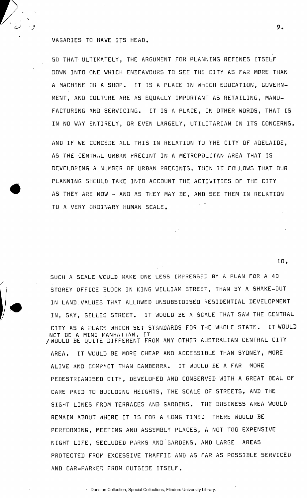VAGARIES TO HAVE ITS HEAD.

SO THAT ULTIMATELY, THE ARGUMENT FOR PLANNING REFINES ITSELF DOWN INTO ONE WHICH ENDEAVOURS TO SEE THE CITY AS FAR MORE THAN A MACHINE OR A SHOP. IT IS A PLACE IN WHICH EDUCATION, GOVERN-MENT, AND CULTURE ARE AS EQUALLY IMPORTANT AS RETAILING, MANU-FACTURING AND SERVICING. IT IS A PLACE, IN OTHER WORDS, THAT IS IN NO WAY ENTIRELY, OR EVEN LARGELY, UTILITARIAN IN ITS CONCERNS.

AND IF WE CONCEDE ALL THIS IN RELATION TO THE CITY OF ADELAIDE, AS THE CENTRAL URBAN PRECINT IN A METROPOLITAN AREA THAT IS DEVELOPING A NUMBER OF URBAN PRECINTS, THEN IT FOLLOWS THAT OUR PLANNING SHOULD TAKE INTO ACCOUNT THE ACTIVITIES OF THE CITY AS THEY ARE NOW - AND AS THEY MAY BE, AND SEE THEM IN RELATION TO A VERY ORDINARY HUMAN SCALE.

SUCH A SCALE WOULD MAKE ONE LESS IMPRESSED BY A PLAN FOR A 40 STOREY OFFICE BLOCK IN KING WILLIAM STREET, THAN BY A SHAKE-OUT IN LAND.VALUES THAT ALLOWED UNSUBSIDISED RESIDENTIAL DEVELOPMENT IN, SAY, GILLES STREET. IT WOULD BE A SCALE THAT SAW THE CENTRAL CITY AS A PLACE WHICH SET STANDARDS FOR THE WHOLE STATE. IT WOULD NOT BE A MINI MANHATTAN, IT /WOULD BE QUITE DIFFERENT FROM ANY OTHER AUSTRALIAN CENTRAL CITY AREA. IT WOULD BE MORE CHEAP AND ACCESSIBLE THAN SYDNEY, MORE ALIVE AND COMPACT THAN CANBERRA. IT WOULD BE A FAR MORE PEDESTRIANISED CITY, DEVELOPED AND CONSERVED WITH A GREAT DEAL OF CARE PAID TO BUILDING HEIGHTS, THE SCALE OF STREETS, AND THE SIGHT LINES FROM TERRACES AND GARDENS. THE BUSINESS AREA WOULD REMAIN ABOUT WHERE IT IS FOR A LONG TIME. THERE WOULD BE PERFORMING, MEETING AND ASSEMBLY PLACES, A NOT TOO EXPENSIVE NIGHT LIFE, SECLUDED PARKS AND GARDENS, AND LARGE AREAS PROTECTED FROM EXCESSIVE TRAFFIC AND AS FAR AS POSSIBLE SERVICED AND CAR-PARKED FROM OUTSIDE ITSELF .

9.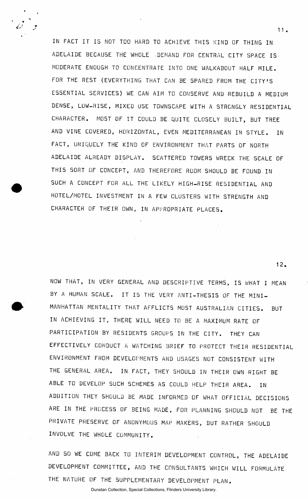IN FACT IT 15 NOT TOO HARD TO ACHIEVE THIS KIND OF THING IN ADELAIDE BECAUSE THE WHOLE - DEMAND FOR CENTRAL CITY SPACE IS-MODERATE ENOUGH TO CONCENTRATE INTO ONE WALKABOUT HALF MILE . FOR THE REST (EVERYTHING THAT CAN BE SPARED FROM THE CITY'S ESSENTIAL SERVICES ) WE CAN AIM TO CONSERVE AND REBUILD A MEDIUM DENSE, LOW-RISE, MIXED USE TOWNSCAPE WITH A STRONGLY RESIDENTIAL CHARACTER. MOST OF IT COULD BE QUITE CLOSELY BUILT, BUT TREE AND VINE COVERED, HORIZONTAL, EVEN MEDITERRANEAN IN STYLE. IN FACT, UNIQUELY THE KIND OF ENVIRONMENT THAT PARTS OF NORTH ADELAIDE ALREADY DISPLAY. SCATTERED TOWERS WRECK THE SCALE OF THIS SORT OF CONCEPT, AND THEREFORE ROOM SHOULD BE FOUND IN SUCH A CONCEPT FOR ALL THE LIKELY HIGH-RISE RESIDENTIAL AND HOTEL/MOTEL INVESTMENT IN A FEW CLUSTERS WITH STRENGTH AND CHARACTER OF THEIR OWN, IN APPROPRIATE PLACES.

NOW THAT, IN VERY GENERAL AND DESCRIPTIVE TERMS, IS WHAT I MEAN BY A HUMAN SCALE. IT IS THE VERY ANTI-THESIS OF THE MINI-MANHATTAN MENTALITY THAT AFFLICTS MOST AUSTRALIAN CITIES. BUT IN ACHIEVING IT, THERE WILL NEED TO BE A MAXIMUM RATE OF PARTICIPATION BY RESIDENTS GROUPS IN THE CITY. THEY CAN EFFECTIVELY CONDUCT A WATCHING BRIEF TO PROTECT THEIR RESIDENTIAL ENVIRONMENT FROM DEVELOPMENTS AND USAGES NOT CONSISTENT WITH THE GENERAL AREA. IN FACT, THEY SHOULD IN THEIR OWN RIGHT BE ABLE TO DEVELOP SUCH SCHEMES AS COULD HELP THEIR AREA. IN ADDITION THEY SHOULD BE MADE INFORMED OF WHAT OFFICIAL DECISIONS ARE IN THE PROCESS OF BEING MADE, FOR PLANNING SHOULD NOT BE THE PRIVATE PRESERVE OF ANONYMOUS MAP MAKERS, BUT RATHER 5H0ULD INVOLVE THE WHOLE COMMUNITY.

AND SO WE COME BACK TO INTERIM DEVELOPMENT CONTROL, THE ADELAIDE DEVELOPMENT COMMITTEE, AND THE CONSULTANTS WHICH WILL FORMULATE THE NATURE OF THE SUPPLEMENTARY DEVELOPMENT PLAN.

Dunstan Collection, Special Collections, Flinders University Library.

11.